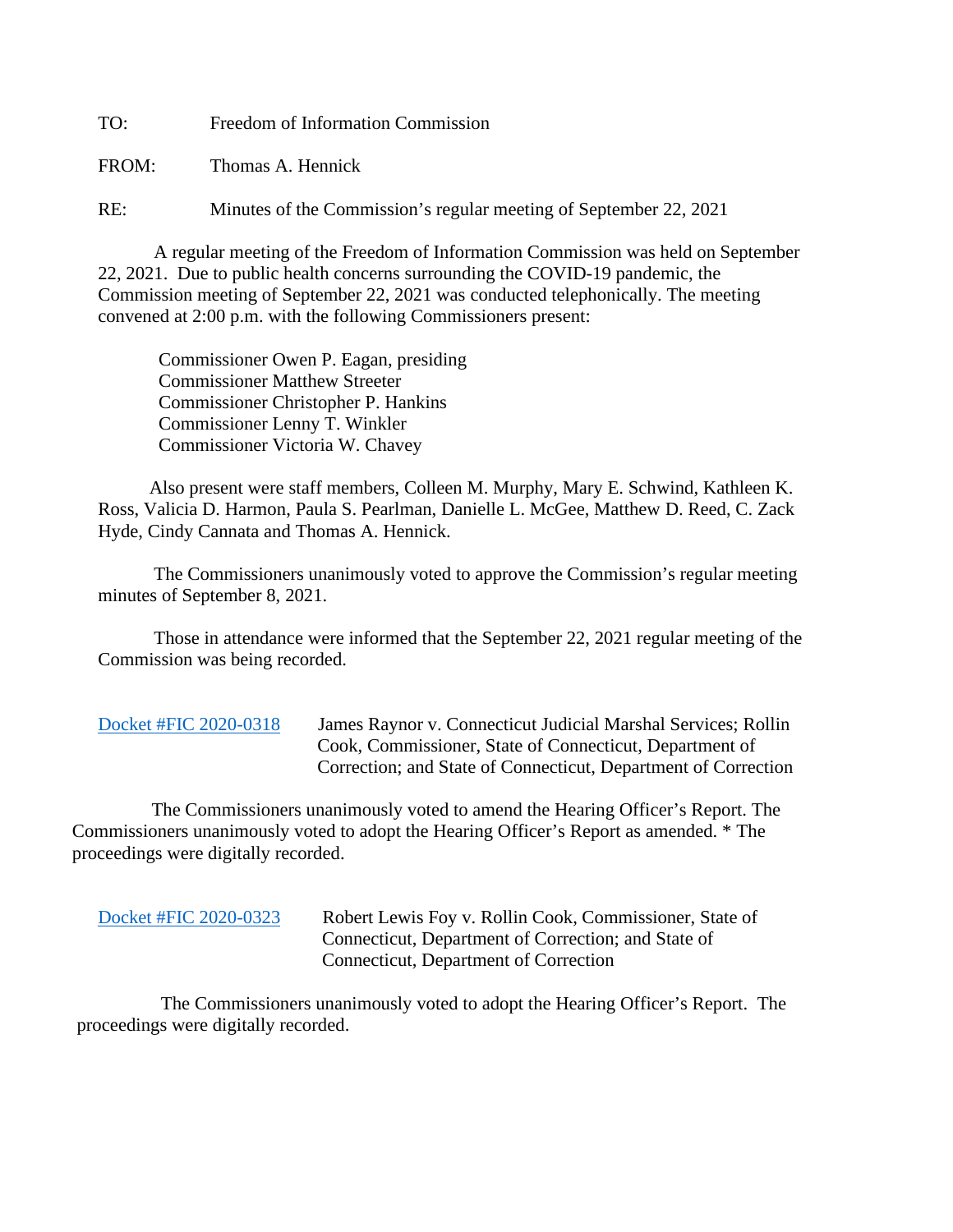TO: Freedom of Information Commission

FROM: Thomas A. Hennick

RE: Minutes of the Commission's regular meeting of September 22, 2021

A regular meeting of the Freedom of Information Commission was held on September 22, 2021. Due to public health concerns surrounding the COVID-19 pandemic, the Commission meeting of September 22, 2021 was conducted telephonically. The meeting convened at 2:00 p.m. with the following Commissioners present:

 Commissioner Owen P. Eagan, presiding Commissioner Matthew Streeter Commissioner Christopher P. Hankins Commissioner Lenny T. Winkler Commissioner Victoria W. Chavey

 Also present were staff members, Colleen M. Murphy, Mary E. Schwind, Kathleen K. Ross, Valicia D. Harmon, Paula S. Pearlman, Danielle L. McGee, Matthew D. Reed, C. Zack Hyde, Cindy Cannata and Thomas A. Hennick.

The Commissioners unanimously voted to approve the Commission's regular meeting minutes of September 8, 2021.

 Those in attendance were informed that the September 22, 2021 regular meeting of the Commission was being recorded.

[Docket #FIC 2020-0318](https://portal.ct.gov/-/media/FOI/FinalDecisions/2021/Sep22/2020-0318.pdf) James Raynor v. Connecticut Judicial Marshal Services; Rollin Cook, Commissioner, State of Connecticut, Department of Correction; and State of Connecticut, Department of Correction

 The Commissioners unanimously voted to amend the Hearing Officer's Report. The Commissioners unanimously voted to adopt the Hearing Officer's Report as amended. \* The proceedings were digitally recorded.

[Docket #FIC 2020-0323](https://portal.ct.gov/-/media/FOI/FinalDecisions/2021/Sep22/2020-0323.pdf) Robert Lewis Foy v. Rollin Cook, Commissioner, State of Connecticut, Department of Correction; and State of Connecticut, Department of Correction

 The Commissioners unanimously voted to adopt the Hearing Officer's Report. The proceedings were digitally recorded.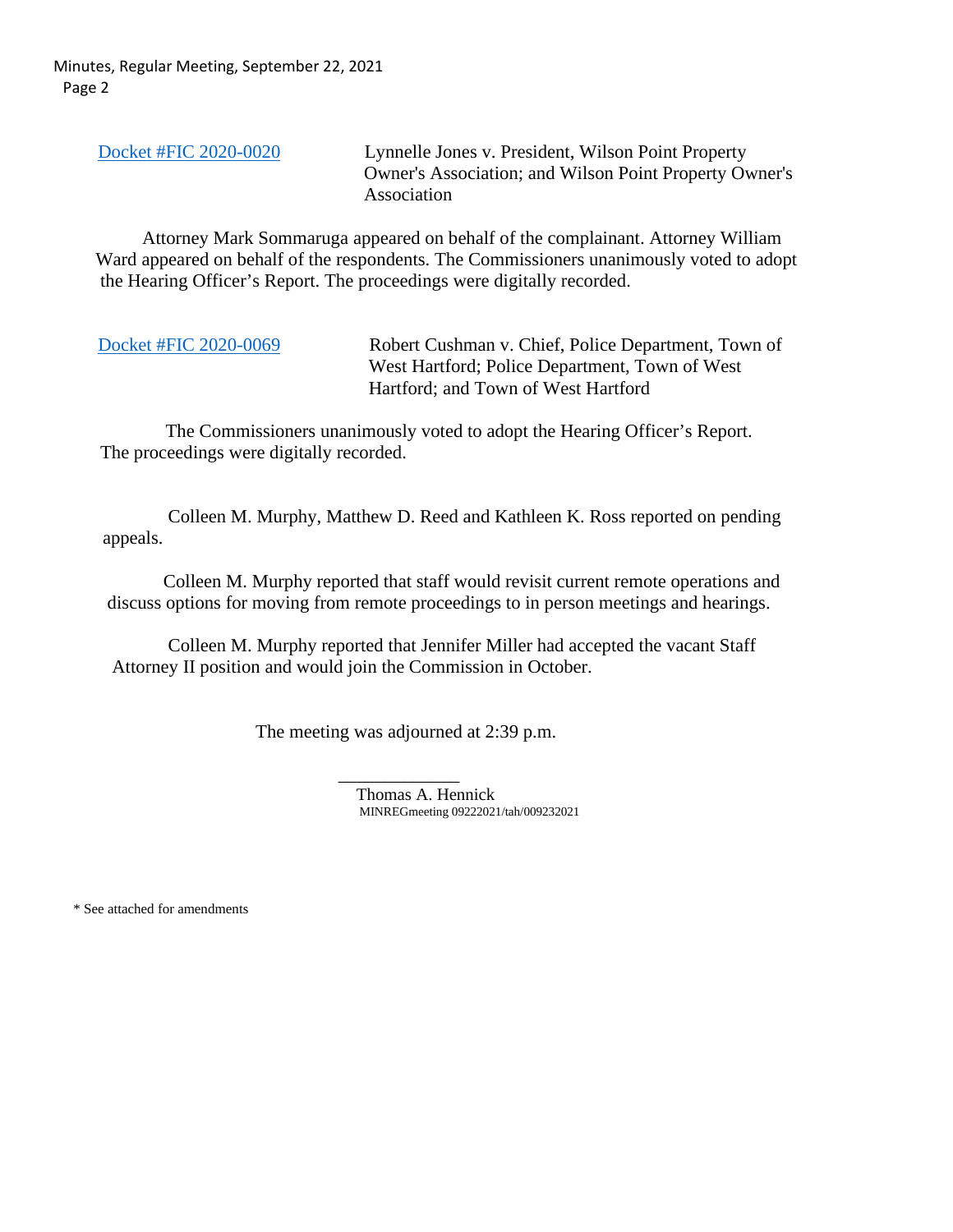Minutes, Regular Meeting, September 22, 2021 Page 2

[Docket #FIC 2020-0020](https://portal.ct.gov/-/media/FOI/FinalDecisions/2021/Sep22/2020-0020.pdf) Lynnelle Jones v. President, Wilson Point Property Owner's Association; and Wilson Point Property Owner's Association

 Attorney Mark Sommaruga appeared on behalf of the complainant. Attorney William Ward appeared on behalf of the respondents. The Commissioners unanimously voted to adopt the Hearing Officer's Report. The proceedings were digitally recorded.

[Docket #FIC 2020-0069](https://portal.ct.gov/-/media/FOI/FinalDecisions/2021/Sep22/2020-0069.pdf) Robert Cushman v. Chief, Police Department, Town of West Hartford; Police Department, Town of West Hartford; and Town of West Hartford

 The Commissioners unanimously voted to adopt the Hearing Officer's Report. The proceedings were digitally recorded.

 Colleen M. Murphy, Matthew D. Reed and Kathleen K. Ross reported on pending appeals.

 Colleen M. Murphy reported that staff would revisit current remote operations and discuss options for moving from remote proceedings to in person meetings and hearings.

 Colleen M. Murphy reported that Jennifer Miller had accepted the vacant Staff Attorney II position and would join the Commission in October.

The meeting was adjourned at 2:39 p.m.

 \_\_\_\_\_\_\_\_\_\_\_\_\_ Thomas A. Hennick MINREGmeeting 09222021/tah/009232021

\* See attached for amendments